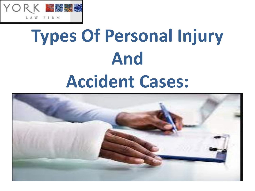

# **Types Of Personal Injury And Accident Cases:**

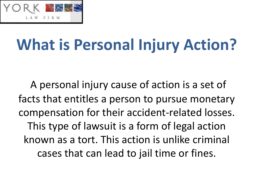

### **What is Personal Injury Action?**

A personal injury cause of action is a set of facts that entitles a person to pursue monetary compensation for their accident-related losses. This type of lawsuit is a form of legal action known as a tort. This action is unlike criminal cases that can lead to jail time or fines.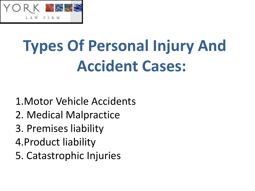

### **Types Of Personal Injury And Accident Cases:**

- 1.Motor Vehicle Accidents
- 2. Medical Malpractice
- 3. Premises liability
- 4.Product liability
- 5. Catastrophic Injuries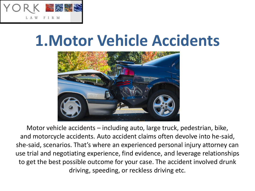

#### **1.Motor Vehicle Accidents**



Motor vehicle accidents – including auto, large truck, pedestrian, bike, and motorcycle accidents. Auto accident claims often devolve into he-said, she-said, scenarios. That's where an experienced personal injury attorney can use trial and negotiating experience, find evidence, and leverage relationships to get the best possible outcome for your case. The accident involved drunk driving, speeding, or reckless driving etc.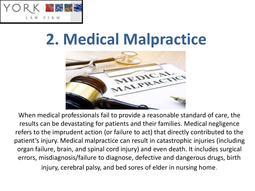

#### **2. Medical Malpractice**



When medical professionals fail to provide a reasonable standard of care, the results can be devastating for patients and their families. Medical negligence refers to the imprudent action (or failure to act) that directly contributed to the patient's injury. Medical malpractice can result in catastrophic injuries (including organ failure, brain, and spinal cord injury) and even death. It includes surgical errors, misdiagnosis/failure to diagnose, defective and dangerous drugs, birth

injury, cerebral palsy, and bed sores of elder in nursing home.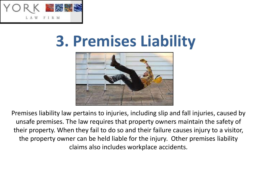

#### **3. Premises Liability**



Premises liability law pertains to injuries, including slip and fall injuries, caused by unsafe premises. The law requires that property owners maintain the safety of their property. When they fail to do so and their failure causes injury to a visitor, the property owner can be held liable for the injury. Other premises liability claims also includes workplace accidents.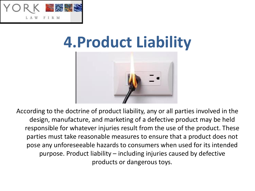

#### **4.Product Liability**



According to the doctrine of product liability, any or all parties involved in the design, manufacture, and marketing of a defective product may be held responsible for whatever injuries result from the use of the product. These parties must take reasonable measures to ensure that a product does not pose any unforeseeable hazards to consumers when used for its intended purpose. Product liability – including injuries caused by defective products or dangerous toys.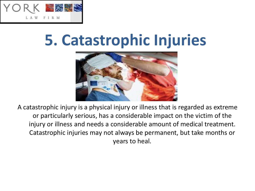

#### **5. Catastrophic Injuries**



A catastrophic injury is a physical injury or illness that is regarded as extreme or particularly serious, has a considerable impact on the victim of the injury or illness and needs a considerable amount of medical treatment. Catastrophic injuries may not always be permanent, but take months or years to heal.